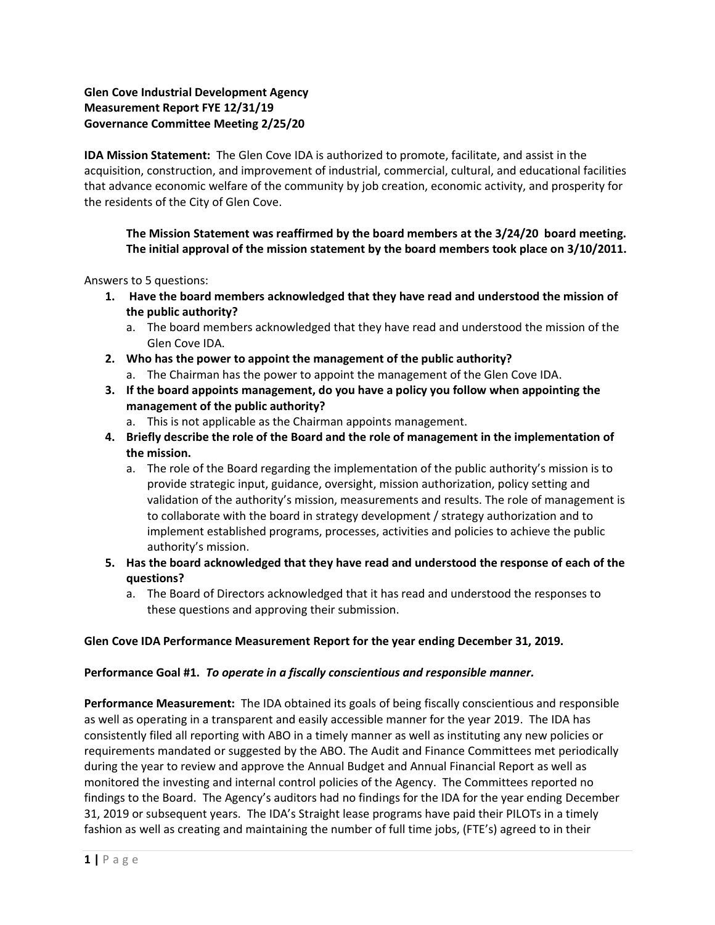# **Glen Cove Industrial Development Agency Measurement Report FYE 12/31/19 Governance Committee Meeting 2/25/20**

**IDA Mission Statement:** The Glen Cove IDA is authorized to promote, facilitate, and assist in the acquisition, construction, and improvement of industrial, commercial, cultural, and educational facilities that advance economic welfare of the community by job creation, economic activity, and prosperity for the residents of the City of Glen Cove.

**The Mission Statement was reaffirmed by the board members at the 3/24/20 board meeting. The initial approval of the mission statement by the board members took place on 3/10/2011.** 

Answers to 5 questions:

- **1. Have the board members acknowledged that they have read and understood the mission of the public authority?**
	- a. The board members acknowledged that they have read and understood the mission of the Glen Cove IDA.
- **2. Who has the power to appoint the management of the public authority?**
	- a. The Chairman has the power to appoint the management of the Glen Cove IDA.
- **3. If the board appoints management, do you have a policy you follow when appointing the management of the public authority?**
	- a. This is not applicable as the Chairman appoints management.
- **4. Briefly describe the role of the Board and the role of management in the implementation of the mission.**
	- a. The role of the Board regarding the implementation of the public authority's mission is to provide strategic input, guidance, oversight, mission authorization, policy setting and validation of the authority's mission, measurements and results. The role of management is to collaborate with the board in strategy development / strategy authorization and to implement established programs, processes, activities and policies to achieve the public authority's mission.
- **5. Has the board acknowledged that they have read and understood the response of each of the questions?**
	- a. The Board of Directors acknowledged that it has read and understood the responses to these questions and approving their submission.

#### **Glen Cove IDA Performance Measurement Report for the year ending December 31, 2019.**

#### **Performance Goal #1.** *To operate in a fiscally conscientious and responsible manner.*

**Performance Measurement:** The IDA obtained its goals of being fiscally conscientious and responsible as well as operating in a transparent and easily accessible manner for the year 2019. The IDA has consistently filed all reporting with ABO in a timely manner as well as instituting any new policies or requirements mandated or suggested by the ABO. The Audit and Finance Committees met periodically during the year to review and approve the Annual Budget and Annual Financial Report as well as monitored the investing and internal control policies of the Agency. The Committees reported no findings to the Board. The Agency's auditors had no findings for the IDA for the year ending December 31, 2019 or subsequent years. The IDA's Straight lease programs have paid their PILOTs in a timely fashion as well as creating and maintaining the number of full time jobs, (FTE's) agreed to in their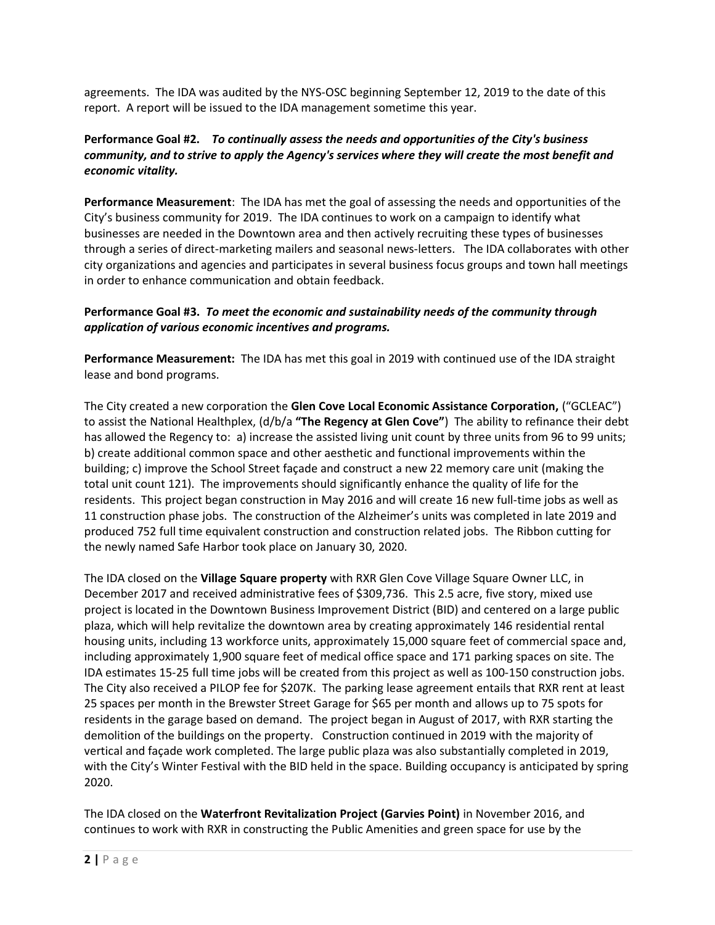agreements. The IDA was audited by the NYS-OSC beginning September 12, 2019 to the date of this report. A report will be issued to the IDA management sometime this year.

# **Performance Goal #2.** *To continually assess the needs and opportunities of the City's business community, and to strive to apply the Agency's services where they will create the most benefit and economic vitality.*

**Performance Measurement**: The IDA has met the goal of assessing the needs and opportunities of the City's business community for 2019. The IDA continues to work on a campaign to identify what businesses are needed in the Downtown area and then actively recruiting these types of businesses through a series of direct-marketing mailers and seasonal news-letters. The IDA collaborates with other city organizations and agencies and participates in several business focus groups and town hall meetings in order to enhance communication and obtain feedback.

## **Performance Goal #3.** *To meet the economic and sustainability needs of the community through application of various economic incentives and programs.*

**Performance Measurement:** The IDA has met this goal in 2019 with continued use of the IDA straight lease and bond programs.

The City created a new corporation the **Glen Cove Local Economic Assistance Corporation,** ("GCLEAC") to assist the National Healthplex, (d/b/a **"The Regency at Glen Cove"**) The ability to refinance their debt has allowed the Regency to: a) increase the assisted living unit count by three units from 96 to 99 units; b) create additional common space and other aesthetic and functional improvements within the building; c) improve the School Street façade and construct a new 22 memory care unit (making the total unit count 121). The improvements should significantly enhance the quality of life for the residents. This project began construction in May 2016 and will create 16 new full-time jobs as well as 11 construction phase jobs. The construction of the Alzheimer's units was completed in late 2019 and produced 752 full time equivalent construction and construction related jobs. The Ribbon cutting for the newly named Safe Harbor took place on January 30, 2020.

The IDA closed on the **Village Square property** with RXR Glen Cove Village Square Owner LLC, in December 2017 and received administrative fees of \$309,736. This 2.5 acre, five story, mixed use project is located in the Downtown Business Improvement District (BID) and centered on a large public plaza, which will help revitalize the downtown area by creating approximately 146 residential rental housing units, including 13 workforce units, approximately 15,000 square feet of commercial space and, including approximately 1,900 square feet of medical office space and 171 parking spaces on site. The IDA estimates 15-25 full time jobs will be created from this project as well as 100-150 construction jobs. The City also received a PILOP fee for \$207K. The parking lease agreement entails that RXR rent at least 25 spaces per month in the Brewster Street Garage for \$65 per month and allows up to 75 spots for residents in the garage based on demand. The project began in August of 2017, with RXR starting the demolition of the buildings on the property. Construction continued in 2019 with the majority of vertical and façade work completed. The large public plaza was also substantially completed in 2019, with the City's Winter Festival with the BID held in the space. Building occupancy is anticipated by spring 2020.

The IDA closed on the **Waterfront Revitalization Project (Garvies Point)** in November 2016, and continues to work with RXR in constructing the Public Amenities and green space for use by the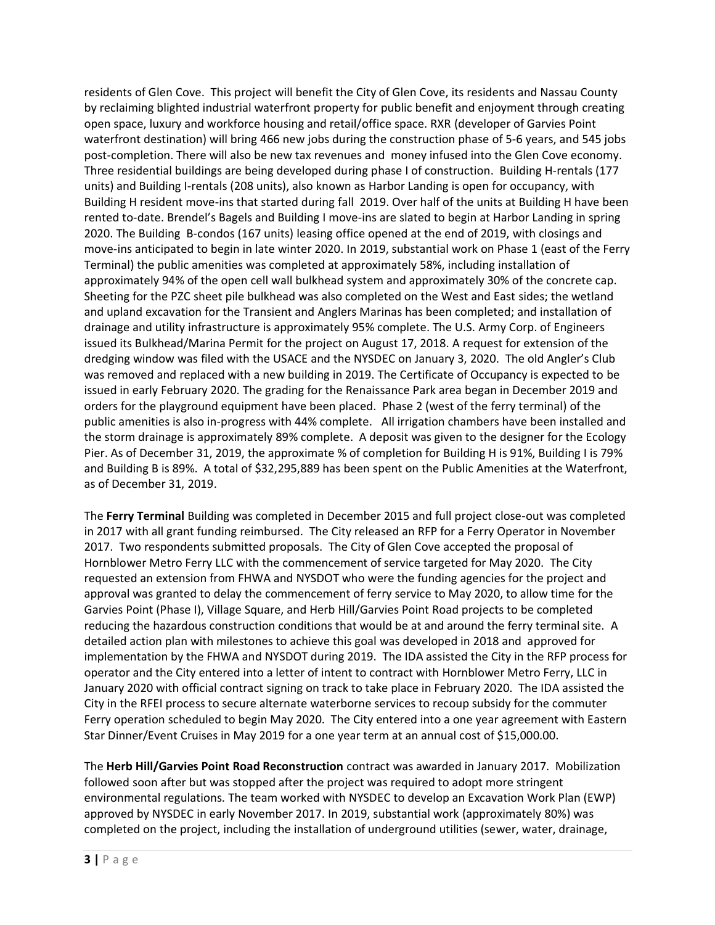residents of Glen Cove. This project will benefit the City of Glen Cove, its residents and Nassau County by reclaiming blighted industrial waterfront property for public benefit and enjoyment through creating open space, luxury and workforce housing and retail/office space. RXR (developer of Garvies Point waterfront destination) will bring 466 new jobs during the construction phase of 5-6 years, and 545 jobs post-completion. There will also be new tax revenues and money infused into the Glen Cove economy. Three residential buildings are being developed during phase I of construction. Building H-rentals (177 units) and Building I-rentals (208 units), also known as Harbor Landing is open for occupancy, with Building H resident move-ins that started during fall 2019. Over half of the units at Building H have been rented to-date. Brendel's Bagels and Building I move-ins are slated to begin at Harbor Landing in spring 2020. The Building B-condos (167 units) leasing office opened at the end of 2019, with closings and move-ins anticipated to begin in late winter 2020. In 2019, substantial work on Phase 1 (east of the Ferry Terminal) the public amenities was completed at approximately 58%, including installation of approximately 94% of the open cell wall bulkhead system and approximately 30% of the concrete cap. Sheeting for the PZC sheet pile bulkhead was also completed on the West and East sides; the wetland and upland excavation for the Transient and Anglers Marinas has been completed; and installation of drainage and utility infrastructure is approximately 95% complete. The U.S. Army Corp. of Engineers issued its Bulkhead/Marina Permit for the project on August 17, 2018. A request for extension of the dredging window was filed with the USACE and the NYSDEC on January 3, 2020. The old Angler's Club was removed and replaced with a new building in 2019. The Certificate of Occupancy is expected to be issued in early February 2020. The grading for the Renaissance Park area began in December 2019 and orders for the playground equipment have been placed. Phase 2 (west of the ferry terminal) of the public amenities is also in-progress with 44% complete. All irrigation chambers have been installed and the storm drainage is approximately 89% complete. A deposit was given to the designer for the Ecology Pier. As of December 31, 2019, the approximate % of completion for Building H is 91%, Building I is 79% and Building B is 89%. A total of \$32,295,889 has been spent on the Public Amenities at the Waterfront, as of December 31, 2019.

The **Ferry Terminal** Building was completed in December 2015 and full project close-out was completed in 2017 with all grant funding reimbursed. The City released an RFP for a Ferry Operator in November 2017. Two respondents submitted proposals. The City of Glen Cove accepted the proposal of Hornblower Metro Ferry LLC with the commencement of service targeted for May 2020. The City requested an extension from FHWA and NYSDOT who were the funding agencies for the project and approval was granted to delay the commencement of ferry service to May 2020, to allow time for the Garvies Point (Phase I), Village Square, and Herb Hill/Garvies Point Road projects to be completed reducing the hazardous construction conditions that would be at and around the ferry terminal site. A detailed action plan with milestones to achieve this goal was developed in 2018 and approved for implementation by the FHWA and NYSDOT during 2019. The IDA assisted the City in the RFP process for operator and the City entered into a letter of intent to contract with Hornblower Metro Ferry, LLC in January 2020 with official contract signing on track to take place in February 2020. The IDA assisted the City in the RFEI process to secure alternate waterborne services to recoup subsidy for the commuter Ferry operation scheduled to begin May 2020. The City entered into a one year agreement with Eastern Star Dinner/Event Cruises in May 2019 for a one year term at an annual cost of \$15,000.00.

The **Herb Hill/Garvies Point Road Reconstruction** contract was awarded in January 2017. Mobilization followed soon after but was stopped after the project was required to adopt more stringent environmental regulations. The team worked with NYSDEC to develop an Excavation Work Plan (EWP) approved by NYSDEC in early November 2017. In 2019, substantial work (approximately 80%) was completed on the project, including the installation of underground utilities (sewer, water, drainage,